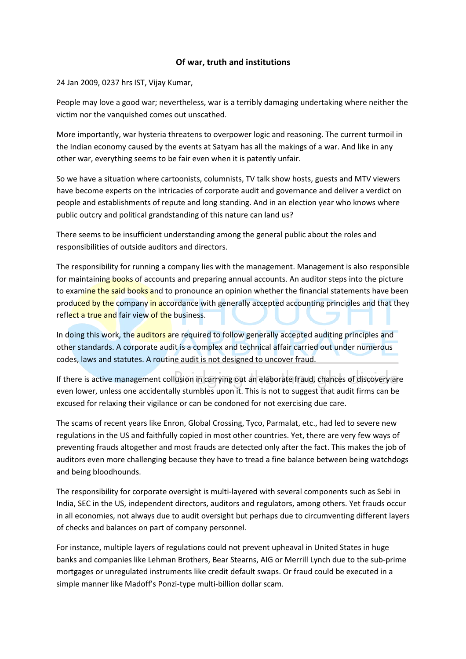## Of war, truth and institutions

24 Jan 2009, 0237 hrs IST, Vijay Kumar,

People may love a good war; nevertheless, war is a terribly damaging undertaking where neither the victim nor the vanquished comes out unscathed.

More importantly, war hysteria threatens to overpower logic and reasoning. The current turmoil in the Indian economy caused by the events at Satyam has all the makings of a war. And like in any other war, everything seems to be fair even when it is patently unfair.

So we have a situation where cartoonists, columnists, TV talk show hosts, guests and MTV viewers have become experts on the intricacies of corporate audit and governance and deliver a verdict on people and establishments of repute and long standing. And in an election year who knows where public outcry and political grandstanding of this nature can land us?

There seems to be insufficient understanding among the general public about the roles and responsibilities of outside auditors and directors.

The responsibility for running a company lies with the management. Management is also responsible for maintaining books of accounts and preparing annual accounts. An auditor steps into the picture to examine the said books and to pronounce an opinion whether the financial statements have been produced by the company in accordance with generally accepted accounting principles and that they reflect a true and fair view of the business.

In doing this work, the **auditors** are required to follow generally accepted auditing principles and other standards. A corporate audit is a complex and technical affair carried out under numerous codes, laws and statutes. A routine audit is not designed to uncover fraud.

If there is active management collusion in carrying out an elaborate fraud, chances of discovery are even lower, unless one accidentally stumbles upon it. This is not to suggest that audit firms can be excused for relaxing their vigilance or can be condoned for not exercising due care.

The scams of recent years like Enron, Global Crossing, Tyco, Parmalat, etc., had led to severe new regulations in the US and faithfully copied in most other countries. Yet, there are very few ways of preventing frauds altogether and most frauds are detected only after the fact. This makes the job of auditors even more challenging because they have to tread a fine balance between being watchdogs and being bloodhounds.

The responsibility for corporate oversight is multi-layered with several components such as Sebi in India, SEC in the US, independent directors, auditors and regulators, among others. Yet frauds occur in all economies, not always due to audit oversight but perhaps due to circumventing different layers of checks and balances on part of company personnel.

For instance, multiple layers of regulations could not prevent upheaval in United States in huge banks and companies like Lehman Brothers, Bear Stearns, AIG or Merrill Lynch due to the sub-prime mortgages or unregulated instruments like credit default swaps. Or fraud could be executed in a simple manner like Madoff's Ponzi-type multi-billion dollar scam.